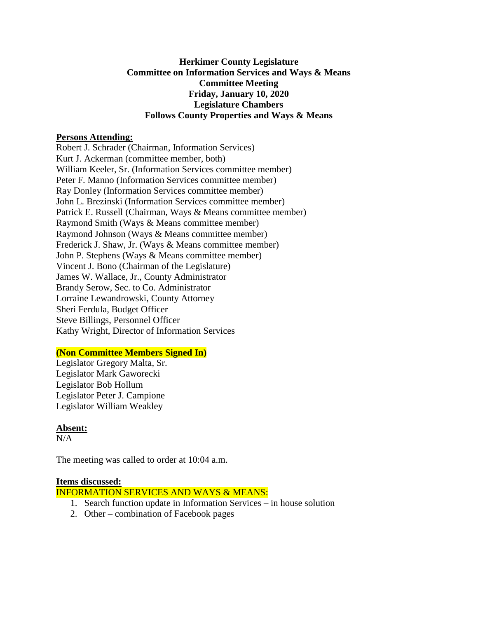### **Herkimer County Legislature Committee on Information Services and Ways & Means Committee Meeting Friday, January 10, 2020 Legislature Chambers Follows County Properties and Ways & Means**

#### **Persons Attending:**

Robert J. Schrader (Chairman, Information Services) Kurt J. Ackerman (committee member, both) William Keeler, Sr. (Information Services committee member) Peter F. Manno (Information Services committee member) Ray Donley (Information Services committee member) John L. Brezinski (Information Services committee member) Patrick E. Russell (Chairman, Ways & Means committee member) Raymond Smith (Ways & Means committee member) Raymond Johnson (Ways & Means committee member) Frederick J. Shaw, Jr. (Ways & Means committee member) John P. Stephens (Ways & Means committee member) Vincent J. Bono (Chairman of the Legislature) James W. Wallace, Jr., County Administrator Brandy Serow, Sec. to Co. Administrator Lorraine Lewandrowski, County Attorney Sheri Ferdula, Budget Officer Steve Billings, Personnel Officer Kathy Wright, Director of Information Services

#### **(Non Committee Members Signed In)**

Legislator Gregory Malta, Sr. Legislator Mark Gaworecki Legislator Bob Hollum Legislator Peter J. Campione Legislator William Weakley

#### **Absent:**

 $N/A$ 

The meeting was called to order at 10:04 a.m.

#### **Items discussed:**

INFORMATION SERVICES AND WAYS & MEANS:

- 1. Search function update in Information Services in house solution
- 2. Other combination of Facebook pages